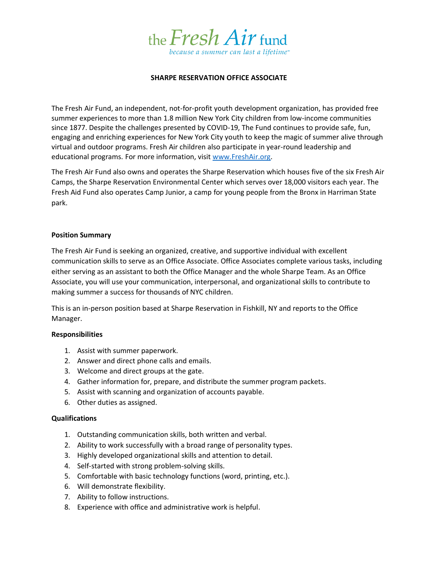

## **SHARPE RESERVATION OFFICE ASSOCIATE**

The Fresh Air Fund, an independent, not-for-profit youth development organization, has provided free summer experiences to more than 1.8 million New York City children from low-income communities since 1877. Despite the challenges presented by COVID-19, The Fund continues to provide safe, fun, engaging and enriching experiences for New York City youth to keep the magic of summer alive through virtual and outdoor programs. Fresh Air children also participate in year-round leadership and educational programs. For more information, visit [www.FreshAir.org.](http://www.freshair.org/)

The Fresh Air Fund also owns and operates the Sharpe Reservation which houses five of the six Fresh Air Camps, the Sharpe Reservation Environmental Center which serves over 18,000 visitors each year. The Fresh Aid Fund also operates Camp Junior, a camp for young people from the Bronx in Harriman State park.

### **Position Summary**

The Fresh Air Fund is seeking an organized, creative, and supportive individual with excellent communication skills to serve as an Office Associate. Office Associates complete various tasks, including either serving as an assistant to both the Office Manager and the whole Sharpe Team. As an Office Associate, you will use your communication, interpersonal, and organizational skills to contribute to making summer a success for thousands of NYC children.

This is an in-person position based at Sharpe Reservation in Fishkill, NY and reports to the Office Manager.

### **Responsibilities**

- 1. Assist with summer paperwork.
- 2. Answer and direct phone calls and emails.
- 3. Welcome and direct groups at the gate.
- 4. Gather information for, prepare, and distribute the summer program packets.
- 5. Assist with scanning and organization of accounts payable.
- 6. Other duties as assigned.

### **Qualifications**

- 1. Outstanding communication skills, both written and verbal.
- 2. Ability to work successfully with a broad range of personality types.
- 3. Highly developed organizational skills and attention to detail.
- 4. Self-started with strong problem-solving skills.
- 5. Comfortable with basic technology functions (word, printing, etc.).
- 6. Will demonstrate flexibility.
- 7. Ability to follow instructions.
- 8. Experience with office and administrative work is helpful.